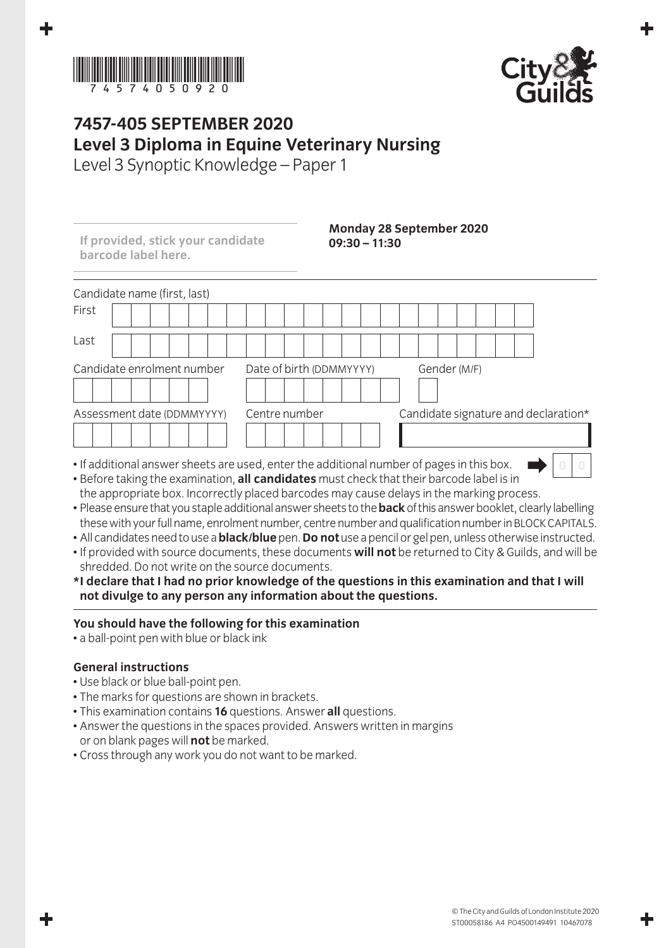



## **7457-405 September 2020 Level 3 Diploma in Equine Veterinary Nursing**

Level 3 Synoptic Knowledge – Paper 1

| If provided, stick your candidate<br>barcode label here.                                  |                          | <b>Monday 28 September 2020</b><br>$09:30 - 11:30$ |                                      |
|-------------------------------------------------------------------------------------------|--------------------------|----------------------------------------------------|--------------------------------------|
| Candidate name (first, last)                                                              |                          |                                                    |                                      |
| First                                                                                     |                          |                                                    |                                      |
| Last                                                                                      |                          |                                                    |                                      |
| Candidate enrolment number                                                                | Date of birth (DDMMYYYY) | Gender (M/F)                                       |                                      |
| Assessment date (DDMMYYYY)                                                                | Centre number            |                                                    | Candidate signature and declaration* |
| . If additional answer sheets are used, enter the additional number of pages in this box. |                          |                                                    |                                      |

- Before taking the examination, **all candidates** must check that their barcode label is in the appropriate box. Incorrectly placed barcodes may cause delays in the marking process.
- Please ensure that you staple additional answer sheets to the **back** of this answer booklet, clearly labelling these with your full name, enrolment number, centre number and qualification number in BLOCK CAPITALS.
- All candidates need to use a **black/blue** pen. **Do not** use a pencil or gel pen, unless otherwise instructed.
- If provided with source documents, these documents **will not** be returned to City & Guilds, and will be shredded. Do not write on the source documents.
- **\* I declare that I had no prior knowledge of the questions in this examination and that I will not divulge to any person any information about the questions.**

## **You should have the following for this examination**

• a ball-point pen with blue or black ink

## **General instructions**

- Use black or blue ball-point pen.
- The marks for questions are shown in brackets.
- This examination contains **16** questions. Answer **all** questions.
- Answer the questions in the spaces provided. Answers written in margins or on blank pages will **not** be marked.
- Cross through any work you do not want to be marked.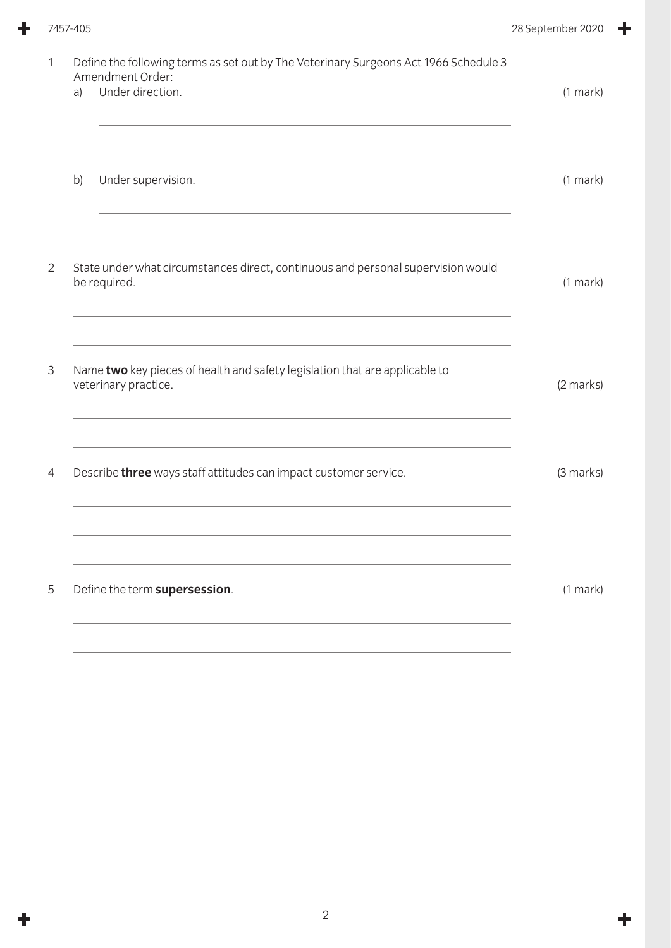| $\mathbf{1}$ | a) | Define the following terms as set out by The Veterinary Surgeons Act 1966 Schedule 3<br>Amendment Order:<br>Under direction. | $(1$ mark $)$ |
|--------------|----|------------------------------------------------------------------------------------------------------------------------------|---------------|
|              | b) | Under supervision.                                                                                                           | $(1$ mark $)$ |
| 2            |    | State under what circumstances direct, continuous and personal supervision would<br>be required.                             | $(1$ mark $)$ |
| 3            |    | Name two key pieces of health and safety legislation that are applicable to<br>veterinary practice.                          | (2 marks)     |
| 4            |    | Describe three ways staff attitudes can impact customer service.                                                             | (3 marks)     |
| 5            |    | Define the term supersession.                                                                                                | $(1$ mark $)$ |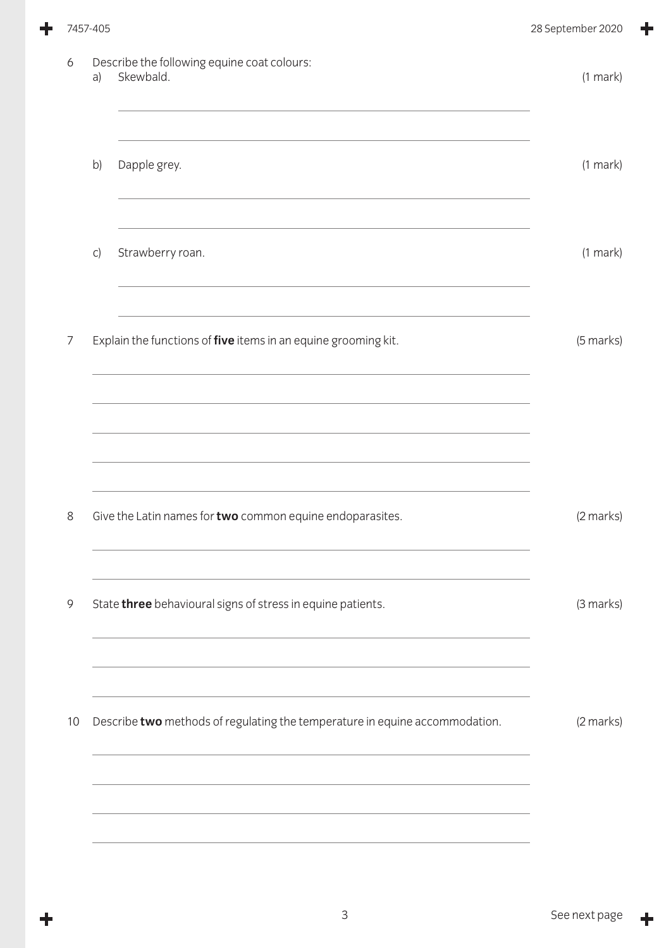| 28 September 2020 |
|-------------------|
| $(1$ mark $)$     |
| $(1$ mark $)$     |
| $(1$ mark $)$     |
| (5 marks)         |
|                   |
| (2 marks)         |
| (3 marks)         |
| (2 marks)         |
|                   |
|                   |

۰

 $\ddagger$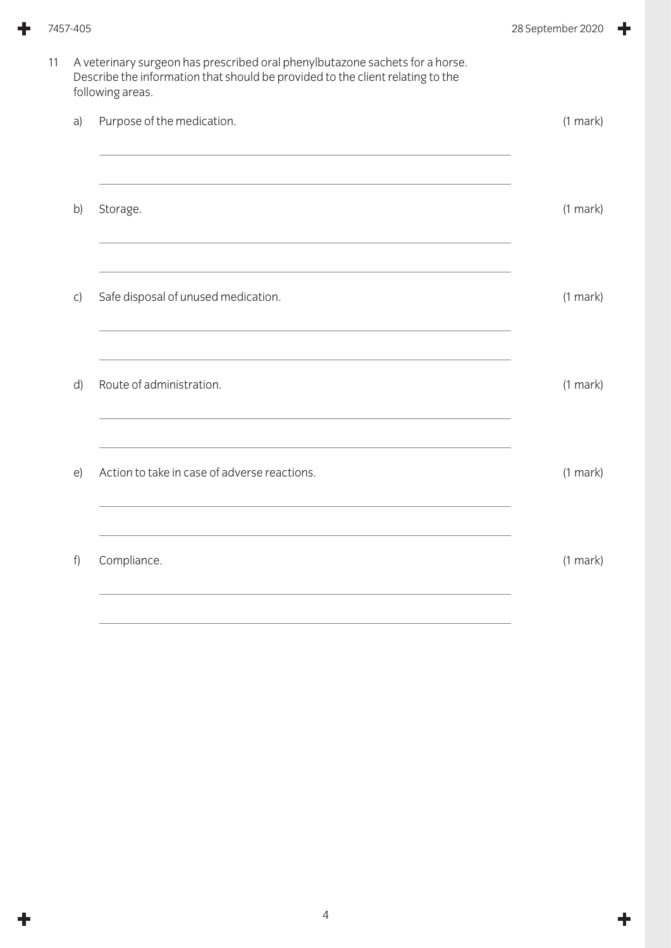11 A veterinary surgeon has prescribed oral phenylbutazone sachets for a horse. Describe the information that should be provided to the client relating to the following areas. a) Purpose of the medication. (1 mark) b) Storage. (1 mark) c) Safe disposal of unused medication. (1 mark) d) Route of administration. (1 mark) e) Action to take in case of adverse reactions. (1 mark) f) Compliance. (1 mark)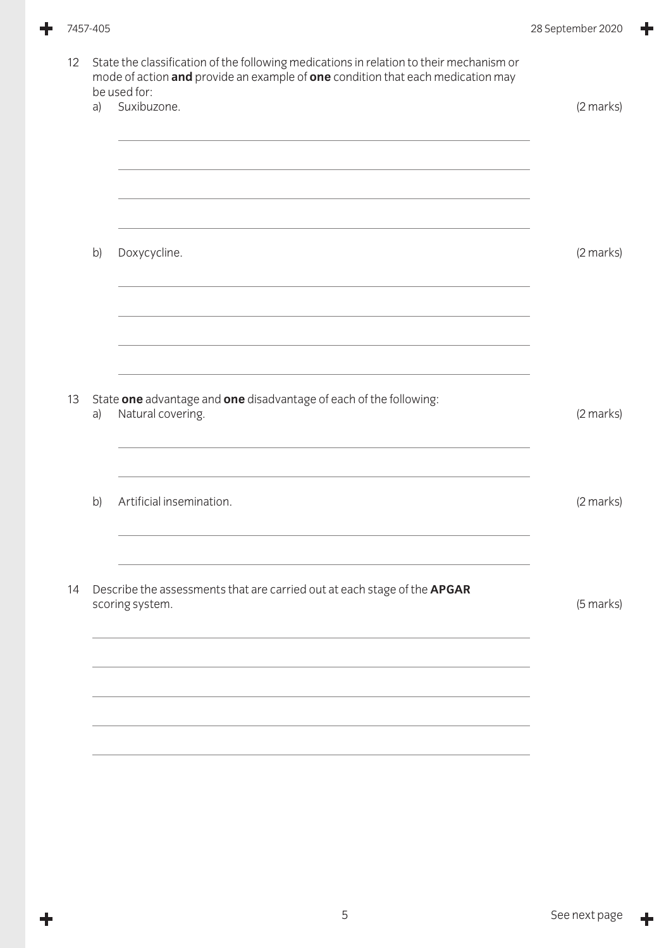÷

╋

| a) | be used for:<br>Suxibuzone.                                                                                           | (2 marks) |
|----|-----------------------------------------------------------------------------------------------------------------------|-----------|
|    |                                                                                                                       |           |
|    | <u> 1989 - Johann Stoff, deutscher Stoff, der Stoff, der Stoff, der Stoff, der Stoff, der Stoff, der Stoff, der S</u> |           |
|    |                                                                                                                       |           |
| b) | Doxycycline.                                                                                                          | (2 marks) |
|    |                                                                                                                       |           |
|    | <u> 1989 - Johann Stoff, amerikansk politiker (d. 1989)</u>                                                           |           |
|    | State one advantage and one disadvantage of each of the following:                                                    |           |
| a) | Natural covering.                                                                                                     | (2 marks) |
| b) | Artificial insemination.                                                                                              | (2 marks) |
|    |                                                                                                                       |           |
|    | Describe the assessments that are carried out at each stage of the APGAR                                              |           |
|    | scoring system.                                                                                                       | (5 marks) |
|    |                                                                                                                       |           |
|    |                                                                                                                       |           |
|    |                                                                                                                       |           |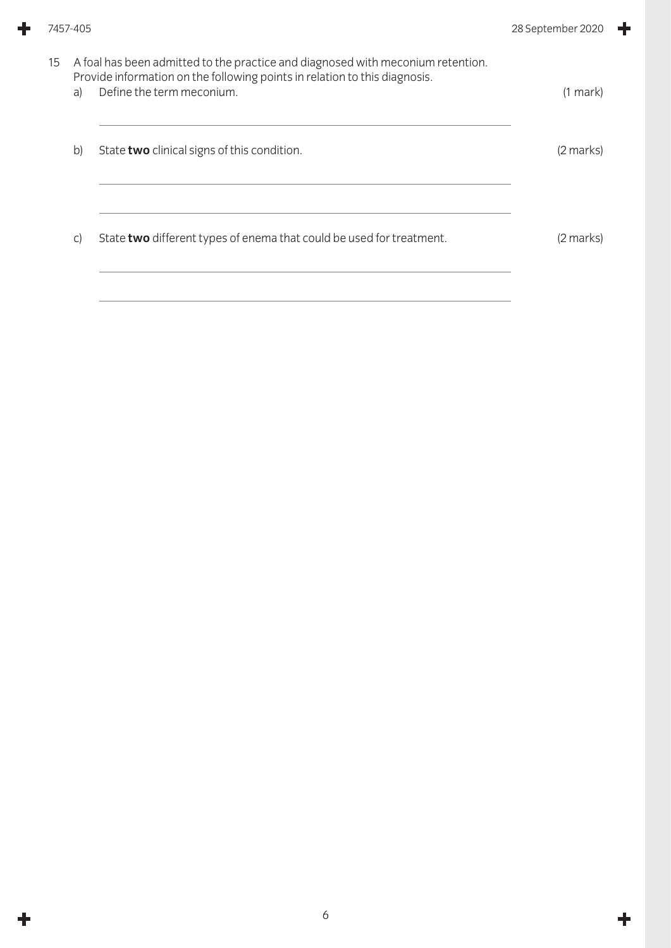| 15 | a)           | A foal has been admitted to the practice and diagnosed with meconium retention.<br>Provide information on the following points in relation to this diagnosis.<br>Define the term meconium. | $(1$ mark)          |
|----|--------------|--------------------------------------------------------------------------------------------------------------------------------------------------------------------------------------------|---------------------|
|    | $\mathsf{b}$ | State <b>two</b> clinical signs of this condition.                                                                                                                                         | $(2 \text{ marks})$ |
|    | C)           | State <b>two</b> different types of enema that could be used for treatment.                                                                                                                | (2 marks)           |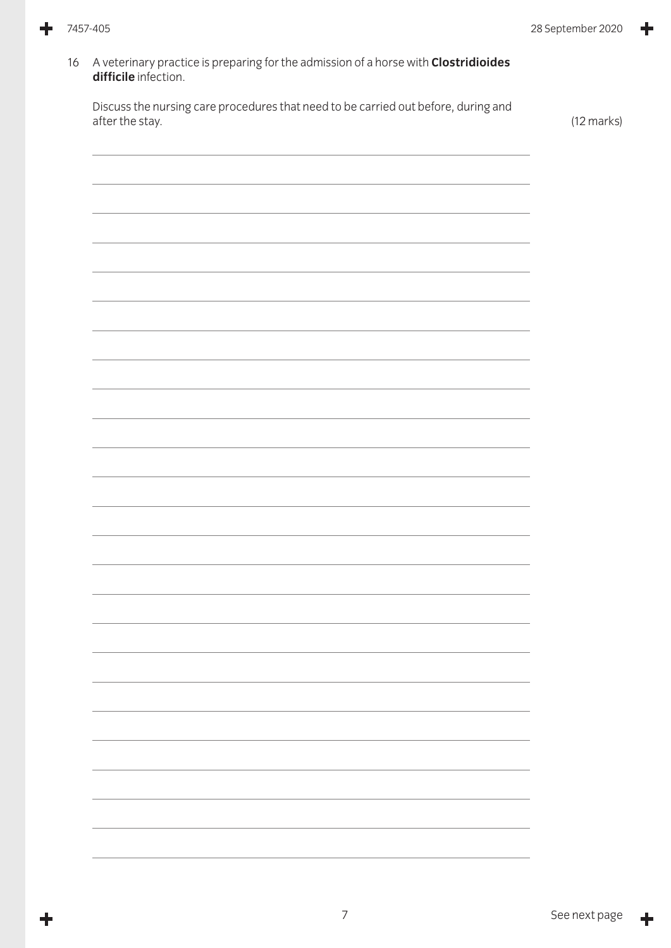÷

÷

| Discuss the nursing care procedures that need to be carried out before, during and                                    |                      |
|-----------------------------------------------------------------------------------------------------------------------|----------------------|
| after the stay.                                                                                                       | $(12 \text{ marks})$ |
|                                                                                                                       |                      |
|                                                                                                                       |                      |
|                                                                                                                       |                      |
|                                                                                                                       |                      |
|                                                                                                                       |                      |
|                                                                                                                       |                      |
|                                                                                                                       |                      |
|                                                                                                                       |                      |
| <u> 1989 - Andrea Andrea Andrea Andrea Andrea Andrea Andrea Andrea Andrea Andrea Andrea Andrea Andrea Andrea Andr</u> |                      |
|                                                                                                                       |                      |
|                                                                                                                       |                      |
|                                                                                                                       |                      |
|                                                                                                                       |                      |
|                                                                                                                       |                      |
|                                                                                                                       |                      |
|                                                                                                                       |                      |
|                                                                                                                       |                      |
|                                                                                                                       |                      |
|                                                                                                                       |                      |
|                                                                                                                       |                      |
|                                                                                                                       |                      |
|                                                                                                                       |                      |
|                                                                                                                       |                      |
|                                                                                                                       |                      |
|                                                                                                                       |                      |
|                                                                                                                       |                      |
|                                                                                                                       |                      |
|                                                                                                                       |                      |
|                                                                                                                       |                      |
|                                                                                                                       |                      |
|                                                                                                                       |                      |
|                                                                                                                       |                      |
|                                                                                                                       |                      |
|                                                                                                                       |                      |
|                                                                                                                       |                      |
|                                                                                                                       |                      |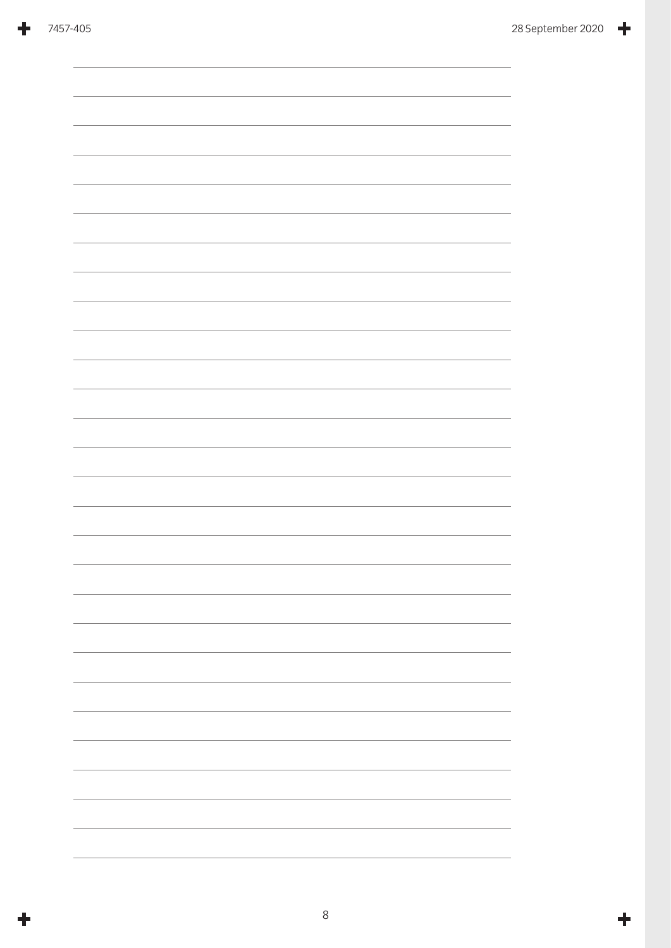÷